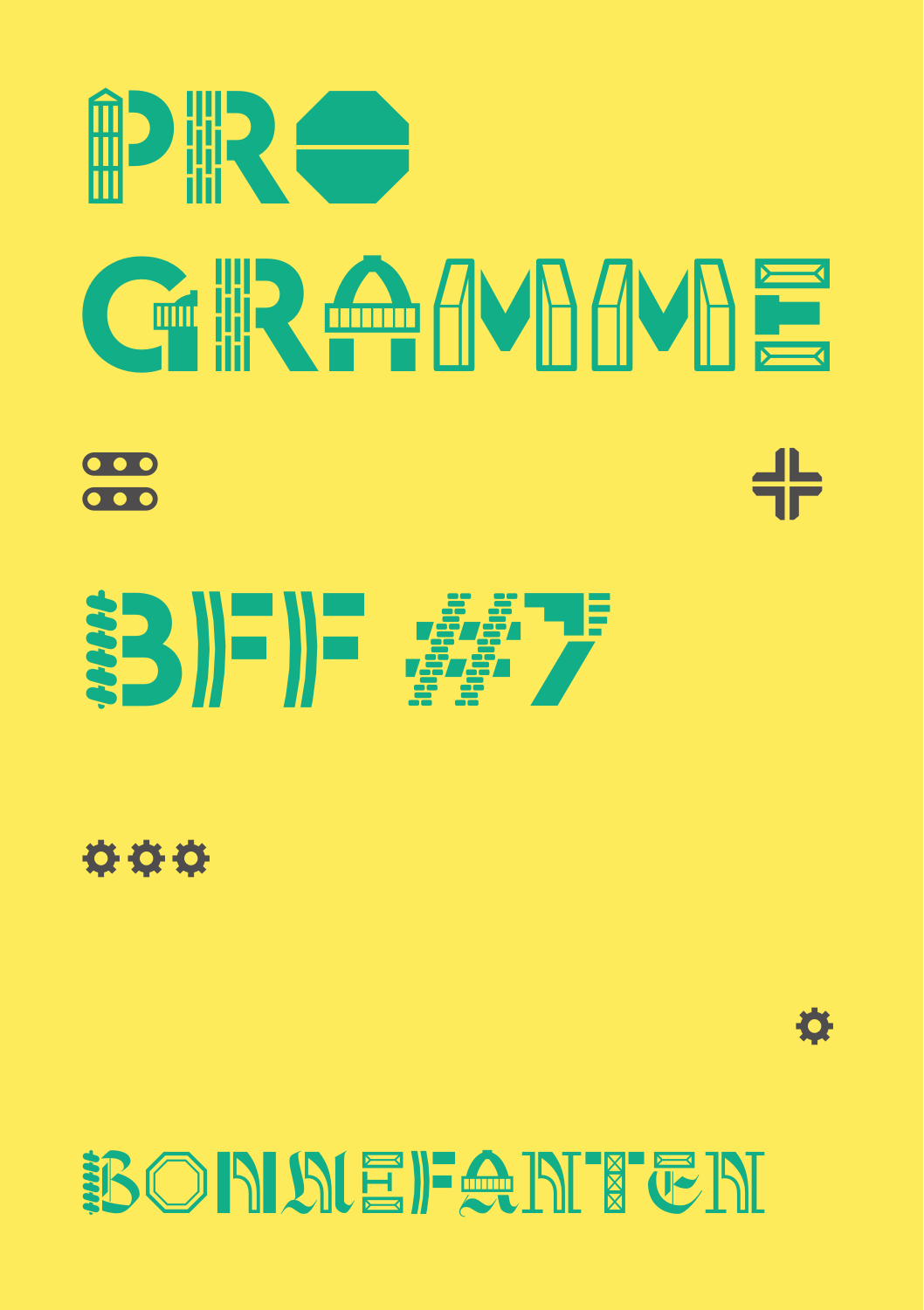



000



## BONDEFANTEN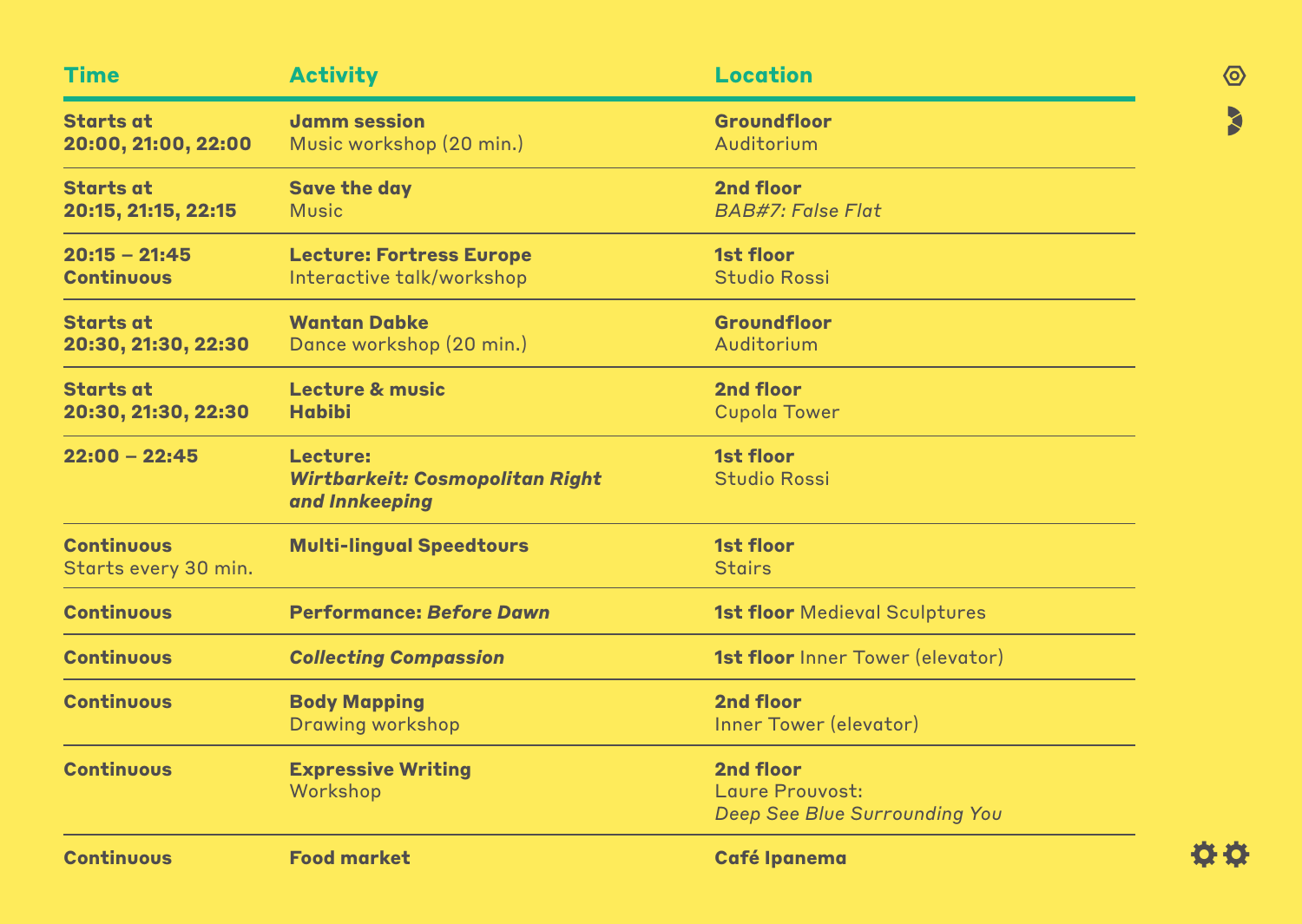| <b>Time</b>          | <b>Activity</b>                                          | <b>Location</b>                         |
|----------------------|----------------------------------------------------------|-----------------------------------------|
| <b>Starts at</b>     | <b>Jamm session</b>                                      | Groundfloor                             |
| 20:00, 21:00, 22:00  | Music workshop (20 min.)                                 | Auditorium                              |
| <b>Starts at</b>     | <b>Save the day</b>                                      | 2nd floor                               |
| 20:15, 21:15, 22:15  | <b>Music</b>                                             | <b>BAB#7: False Flat</b>                |
| $20:15 - 21:45$      | <b>Lecture: Fortress Europe</b>                          | <b>1st floor</b>                        |
| <b>Continuous</b>    | Interactive talk/workshop                                | <b>Studio Rossi</b>                     |
| <b>Starts at</b>     | <b>Wantan Dabke</b>                                      | Groundfloor                             |
| 20:30, 21:30, 22:30  | Dance workshop (20 min.)                                 | Auditorium                              |
| <b>Starts at</b>     | Lecture & music                                          | 2nd floor                               |
| 20:30, 21:30, 22:30  | <b>Habibi</b>                                            | <b>Cupola Tower</b>                     |
| $22:00 - 22:45$      | Lecture:                                                 | <b>1st floor</b>                        |
|                      | <b>Wirtbarkeit: Cosmopolitan Right</b><br>and Innkeeping | <b>Studio Rossi</b>                     |
| <b>Continuous</b>    | <b>Multi-lingual Speedtours</b>                          | 1st floor                               |
| Starts every 30 min. |                                                          | <b>Stairs</b>                           |
| <b>Continuous</b>    | <b>Performance: Before Dawn</b>                          | <b>1st floor</b> Medieval Sculptures    |
| <b>Continuous</b>    | <b>Collecting Compassion</b>                             | <b>1st floor</b> Inner Tower (elevator) |
| <b>Continuous</b>    | <b>Body Mapping</b>                                      | <b>2nd floor</b>                        |
|                      | <b>Drawing workshop</b>                                  | Inner Tower (elevator)                  |
| <b>Continuous</b>    | <b>Expressive Writing</b>                                | <b>2nd floor</b>                        |
|                      | Workshop                                                 | Laure Prouvost:                         |
|                      |                                                          | Deep See Blue Surrounding You           |
| <b>Continuous</b>    | <b>Food market</b>                                       | <b>Café Ipanema</b>                     |

0